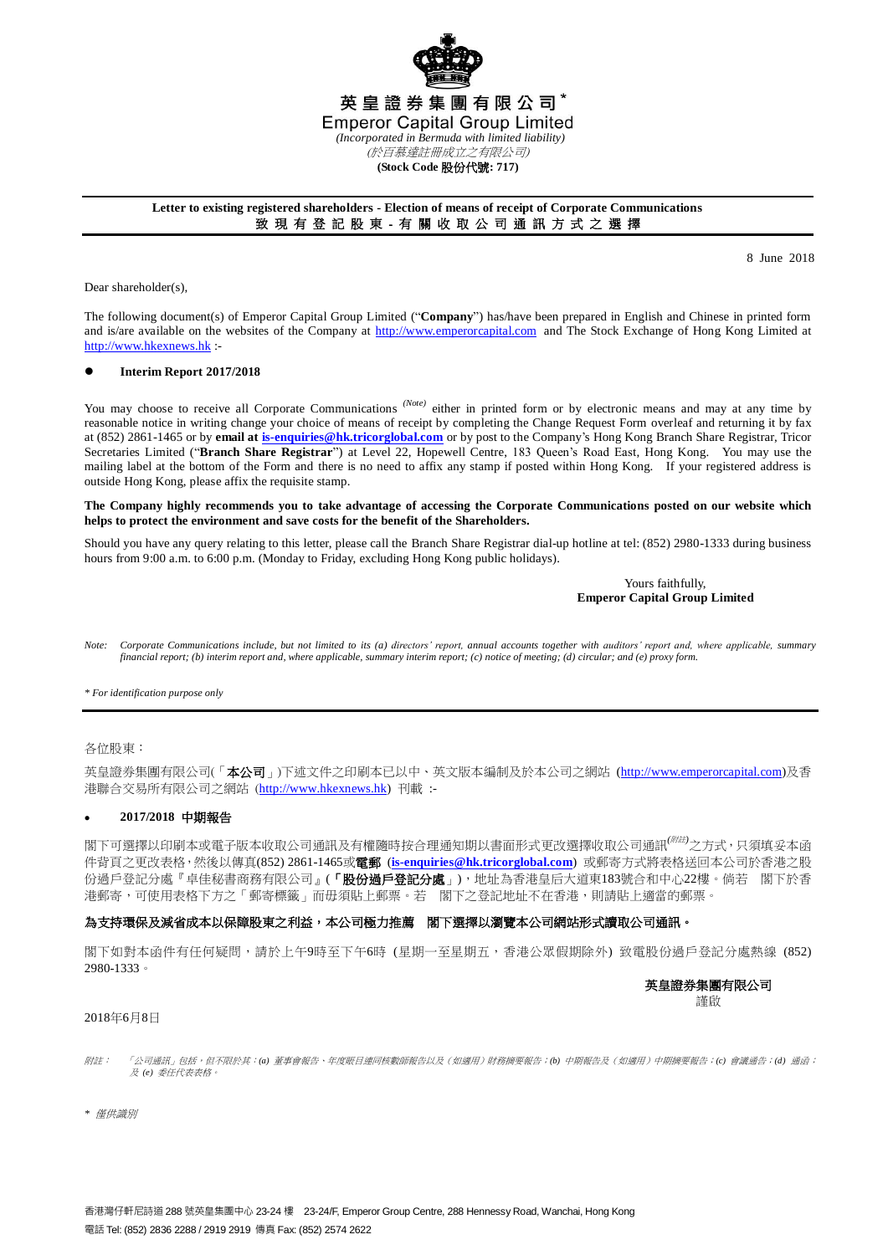

### **Letter to existing registered shareholders - Election of means of receipt of Corporate Communications** 致 現 有 登 記 股 東 - 有 關 收 取 公 司 通 訊 方 式 之 選 擇

8 June 2018

Dear shareholder(s),

The following document(s) of Emperor Capital Group Limited ("**Company**") has/have been prepared in English and Chinese in printed form and is/are available on the websites of the Company at [http://www.emperorcapital.com](http://www.emperorcapital.com/) and The Stock Exchange of Hong Kong Limited at [http://www.hkexnews.hk](http://www.hkexnews.hk/) :-

## **Interim Report 2017/2018**

You may choose to receive all Corporate Communications <sup>(Note)</sup> either in printed form or by electronic means and may at any time by reasonable notice in writing change your choice of means of receipt by completing the Change Request Form overleaf and returning it by fax at (852) 2861-1465 or by **email a[t is-enquiries@hk.tricorglobal.com](mailto:is-enquiries@hk.tricorglobal.com)** or by post to the Company's Hong Kong Branch Share Registrar, Tricor Secretaries Limited ("**Branch Share Registrar**") at Level 22, Hopewell Centre, 183 Queen's Road East, Hong Kong. You may use the mailing label at the bottom of the Form and there is no need to affix any stamp if posted within Hong Kong. If your registered address is outside Hong Kong, please affix the requisite stamp.

### **The Company highly recommends you to take advantage of accessing the Corporate Communications posted on our website which helps to protect the environment and save costs for the benefit of the Shareholders.**

Should you have any query relating to this letter, please call the Branch Share Registrar dial-up hotline at tel: (852) 2980-1333 during business hours from 9:00 a.m. to 6:00 p.m. (Monday to Friday, excluding Hong Kong public holidays).

### Yours faithfully, **Emperor Capital Group Limited**

*Note: Corporate Communications include, but not limited to its (a) directors' report, annual accounts together with auditors' report and, where applicable, summary financial report; (b) interim report and, where applicable, summary interim report; (c) notice of meeting; (d) circular; and (e) proxy form.*

*\* For identification purpose only*

各位股東:

英皇證券集團有限公司(「本公司」)下述文件之印刷本已以中、英文版本編制及於本公司之網站 (http://www.emperorcapital.com)及香 港聯合交易所有限公司之網站 ([http://www.hkexnews.hk\)](http://www.hkex.news.hk/) 刊載 :-

# **2017/2018** 中期報告

閣下可選擇以印刷本或電子版本收取公司通訊及有權隨時按合理通知期以書面形式更改選擇收取公司通訊*(*附註*)*之方式,只須填妥本函 件背頁之更改表格,然後以傳真(852) 2861-1465或電郵 (**[is-enquiries@hk.tricorglobal.com](mailto:is-enquiries@hk.tricorglobal.com)**) 或郵寄方式將表格送回本公司於香港之股 份過戶登記分處『卓佳秘書商務有限公司』(「**股份過戶登記分處」**),地址為香港皇后大道東183號合和中心22樓。倘若 閣下於香 港郵寄,可使用表格下方之「郵寄標籤」而毋須貼上郵票。若 閣下之登記地址不在香港,則請貼上適當的郵票。

## 為支持環保及減省成本以保障股東之利益,本公司極力推薦 閣下選擇以瀏覽本公司網站形式讀取公司通訊。

閣下如對本函件有任何疑問,請於上午9時至下午6時 (星期一至星期五,香港公眾假期除外) 致電股份過戶登記分處熱線 (852) 2980-1333。

## 英皇證券集團有限公司

謹啟

### 2018年6月8日

- 附註: 「「公司通訊」包括,但不限於其:*(a)* 董事會報告、年度賬目連同核數師報告以及(如適用)財務摘要報告;*(b)* 中期報告及(如適用)中期摘要報告;*(c)* 會議通告;*(d)* 通函; 及 及 *(e)* 委任代表表格。
- *\** 僅供識別